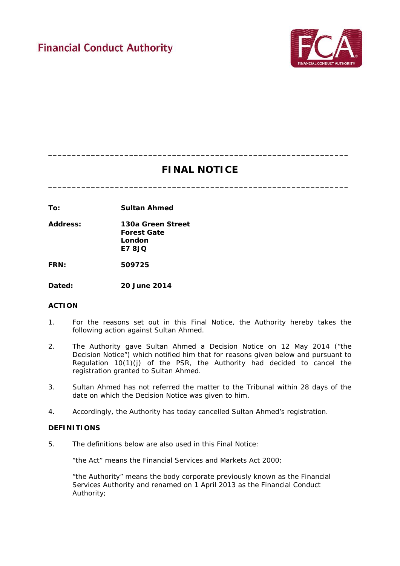

# **FINAL NOTICE**

**\_\_\_\_\_\_\_\_\_\_\_\_\_\_\_\_\_\_\_\_\_\_\_\_\_\_\_\_\_\_\_\_\_\_\_\_\_\_\_\_\_\_\_\_\_\_\_\_\_\_\_\_\_\_\_\_\_\_\_\_\_\_\_**

**\_\_\_\_\_\_\_\_\_\_\_\_\_\_\_\_\_\_\_\_\_\_\_\_\_\_\_\_\_\_\_\_\_\_\_\_\_\_\_\_\_\_\_\_\_\_\_\_\_\_\_\_\_\_\_\_\_\_\_\_\_\_\_**

**To: Sultan Ahmed**

**Address: 130a Green Street Forest Gate London E7 8JQ**

**FRN: 509725**

**Dated: 20 June 2014**

# **ACTION**

- 1. For the reasons set out in this Final Notice, the Authority hereby takes the following action against Sultan Ahmed.
- 2. The Authority gave Sultan Ahmed a Decision Notice on 12 May 2014 ("the Decision Notice") which notified him that for reasons given below and pursuant to Regulation 10(1)(j) of the PSR, the Authority had decided to cancel the registration granted to Sultan Ahmed.
- 3. Sultan Ahmed has not referred the matter to the Tribunal within 28 days of the date on which the Decision Notice was given to him.
- 4. Accordingly, the Authority has today cancelled Sultan Ahmed's registration.

## **DEFINITIONS**

5. The definitions below are also used in this Final Notice:

"the Act" means the Financial Services and Markets Act 2000;

"the Authority" means the body corporate previously known as the Financial Services Authority and renamed on 1 April 2013 as the Financial Conduct Authority;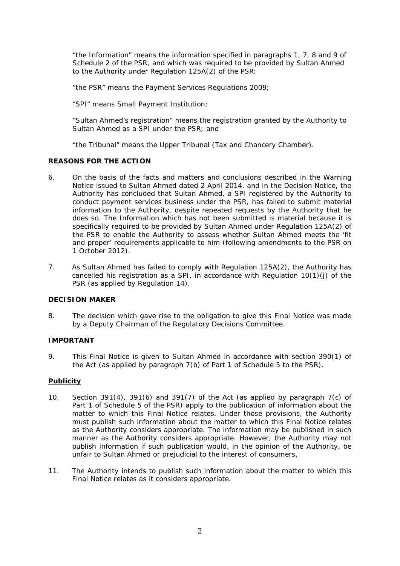"the Information" means the information specified in paragraphs 1, 7, 8 and 9 of Schedule 2 of the PSR, and which was required to be provided by Sultan Ahmed to the Authority under Regulation 125A(2) of the PSR;

"the PSR" means the Payment Services Regulations 2009;

"SPI" means Small Payment Institution;

"Sultan Ahmed's registration" means the registration granted by the Authority to Sultan Ahmed as a SPI under the PSR; and

"the Tribunal" means the Upper Tribunal (Tax and Chancery Chamber).

## **REASONS FOR THE ACTION**

- 6. On the basis of the facts and matters and conclusions described in the Warning Notice issued to Sultan Ahmed dated 2 April 2014, and in the Decision Notice, the Authority has concluded that Sultan Ahmed, a SPI registered by the Authority to conduct payment services business under the PSR, has failed to submit material information to the Authority, despite repeated requests by the Authority that he does so. The Information which has not been submitted is material because it is specifically required to be provided by Sultan Ahmed under Regulation 125A(2) of the PSR to enable the Authority to assess whether Sultan Ahmed meets the 'fit and proper' requirements applicable to him (following amendments to the PSR on 1 October 2012).
- 7. As Sultan Ahmed has failed to comply with Regulation 125A(2), the Authority has cancelled his registration as a SPI, in accordance with Regulation 10(1)(j) of the PSR (as applied by Regulation 14).

## **DECISION MAKER**

8. The decision which gave rise to the obligation to give this Final Notice was made by a Deputy Chairman of the Regulatory Decisions Committee.

## **IMPORTANT**

9. This Final Notice is given to Sultan Ahmed in accordance with section 390(1) of the Act (as applied by paragraph 7(b) of Part 1 of Schedule 5 to the PSR).

## **Publicity**

- 10. Section 391(4), 391(6) and 391(7) of the Act (as applied by paragraph 7(c) of Part 1 of Schedule 5 of the PSR) apply to the publication of information about the matter to which this Final Notice relates. Under those provisions, the Authority must publish such information about the matter to which this Final Notice relates as the Authority considers appropriate. The information may be published in such manner as the Authority considers appropriate. However, the Authority may not publish information if such publication would, in the opinion of the Authority, be unfair to Sultan Ahmed or prejudicial to the interest of consumers.
- 11. The Authority intends to publish such information about the matter to which this Final Notice relates as it considers appropriate.